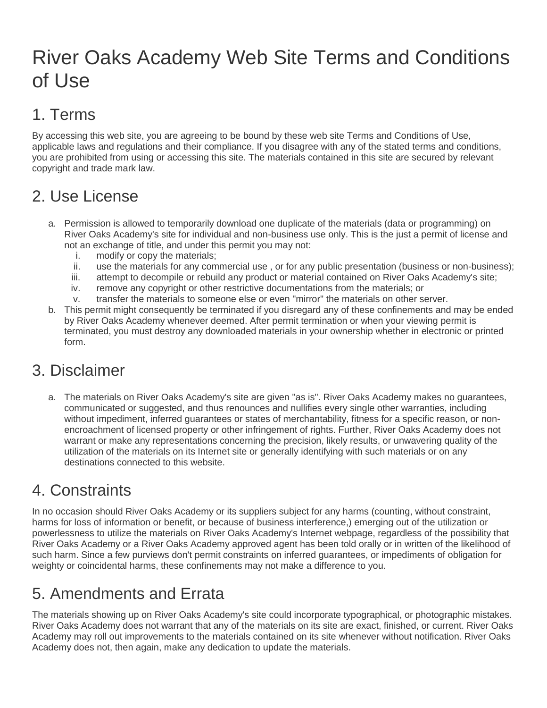## River Oaks Academy Web Site Terms and Conditions of Use

## 1. Terms

By accessing this web site, you are agreeing to be bound by these web site Terms and Conditions of Use, applicable laws and regulations and their compliance. If you disagree with any of the stated terms and conditions, you are prohibited from using or accessing this site. The materials contained in this site are secured by relevant copyright and trade mark law.

## 2. Use License

- a. Permission is allowed to temporarily download one duplicate of the materials (data or programming) on River Oaks Academy's site for individual and non-business use only. This is the just a permit of license and not an exchange of title, and under this permit you may not:
	- i. modify or copy the materials;
	- ii. use the materials for any commercial use , or for any public presentation (business or non-business);
	- iii. attempt to decompile or rebuild any product or material contained on River Oaks Academy's site;
	- iv. remove any copyright or other restrictive documentations from the materials; or
	- v. transfer the materials to someone else or even "mirror" the materials on other server.
- b. This permit might consequently be terminated if you disregard any of these confinements and may be ended by River Oaks Academy whenever deemed. After permit termination or when your viewing permit is terminated, you must destroy any downloaded materials in your ownership whether in electronic or printed form.

#### 3. Disclaimer

a. The materials on River Oaks Academy's site are given "as is". River Oaks Academy makes no guarantees, communicated or suggested, and thus renounces and nullifies every single other warranties, including without impediment, inferred guarantees or states of merchantability, fitness for a specific reason, or nonencroachment of licensed property or other infringement of rights. Further, River Oaks Academy does not warrant or make any representations concerning the precision, likely results, or unwavering quality of the utilization of the materials on its Internet site or generally identifying with such materials or on any destinations connected to this website.

#### 4. Constraints

In no occasion should River Oaks Academy or its suppliers subject for any harms (counting, without constraint, harms for loss of information or benefit, or because of business interference,) emerging out of the utilization or powerlessness to utilize the materials on River Oaks Academy's Internet webpage, regardless of the possibility that River Oaks Academy or a River Oaks Academy approved agent has been told orally or in written of the likelihood of such harm. Since a few purviews don't permit constraints on inferred guarantees, or impediments of obligation for weighty or coincidental harms, these confinements may not make a difference to you.

#### 5. Amendments and Errata

The materials showing up on River Oaks Academy's site could incorporate typographical, or photographic mistakes. River Oaks Academy does not warrant that any of the materials on its site are exact, finished, or current. River Oaks Academy may roll out improvements to the materials contained on its site whenever without notification. River Oaks Academy does not, then again, make any dedication to update the materials.